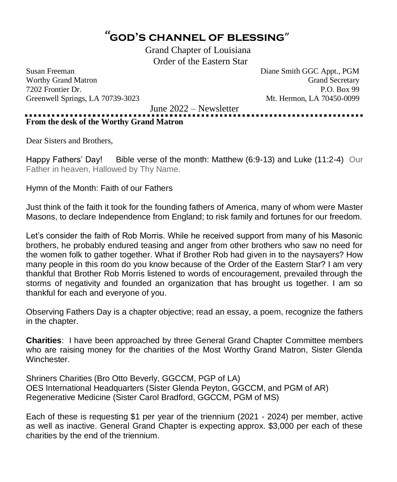# *"* **god's channel of blessing**"

Grand Chapter of Louisiana Order of the Eastern Star

Susan Freeman Diane Smith GGC Appt., PGM Worthy Grand Matron Grand Secretary Communication Communication Crash Secretary 7202 Frontier Dr. P.O. Box 99 Greenwell Springs, LA 70739-3023 Mt. Hermon, LA 70450-0099

June 2022 – Newsletter

**From the desk of the Worthy Grand Matron**

Dear Sisters and Brothers,

Happy Fathers' Day! Bible verse of the month: Matthew (6:9-13) and Luke (11:2-4) Our Father in heaven, Hallowed by Thy Name.

Hymn of the Month: Faith of our Fathers

Just think of the faith it took for the founding fathers of America, many of whom were Master Masons, to declare Independence from England; to risk family and fortunes for our freedom.

Let's consider the faith of Rob Morris. While he received support from many of his Masonic brothers, he probably endured teasing and anger from other brothers who saw no need for the women folk to gather together. What if Brother Rob had given in to the naysayers? How many people in this room do you know because of the Order of the Eastern Star? I am very thankful that Brother Rob Morris listened to words of encouragement, prevailed through the storms of negativity and founded an organization that has brought us together. I am so thankful for each and everyone of you.

Observing Fathers Day is a chapter objective; read an essay, a poem, recognize the fathers in the chapter.

**Charities**: I have been approached by three General Grand Chapter Committee members who are raising money for the charities of the Most Worthy Grand Matron, Sister Glenda **Winchester** 

Shriners Charities (Bro Otto Beverly, GGCCM, PGP of LA) OES International Headquarters (Sister Glenda Peyton, GGCCM, and PGM of AR) Regenerative Medicine (Sister Carol Bradford, GGCCM, PGM of MS)

Each of these is requesting \$1 per year of the triennium (2021 - 2024) per member, active as well as inactive. General Grand Chapter is expecting approx. \$3,000 per each of these charities by the end of the triennium.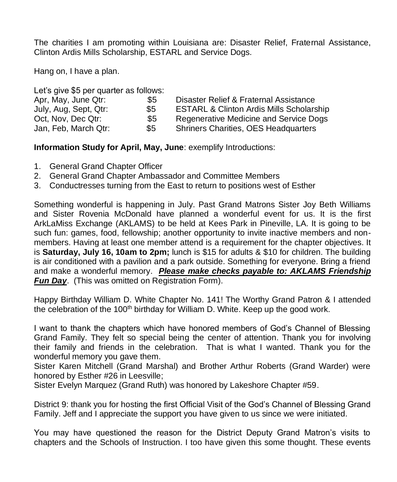The charities I am promoting within Louisiana are: Disaster Relief, Fraternal Assistance, Clinton Ardis Mills Scholarship, ESTARL and Service Dogs.

Hang on, I have a plan.

Let's give \$5 per quarter as follows:

| Apr, May, June Qtr:   | \$5 | Disaster Relief & Fraternal Assistance              |
|-----------------------|-----|-----------------------------------------------------|
| July, Aug, Sept, Qtr: | \$5 | <b>ESTARL &amp; Clinton Ardis Mills Scholarship</b> |
| Oct, Nov, Dec Qtr:    | \$5 | Regenerative Medicine and Service Dogs              |
| Jan, Feb, March Qtr:  | \$5 | <b>Shriners Charities, OES Headquarters</b>         |

**Information Study for April, May, June**: exemplify Introductions:

- 1. General Grand Chapter Officer
- 2. General Grand Chapter Ambassador and Committee Members
- 3. Conductresses turning from the East to return to positions west of Esther

Something wonderful is happening in July. Past Grand Matrons Sister Joy Beth Williams and Sister Rovenia McDonald have planned a wonderful event for us. It is the first ArkLaMiss Exchange (AKLAMS) to be held at Kees Park in Pineville, LA. It is going to be such fun: games, food, fellowship; another opportunity to invite inactive members and nonmembers. Having at least one member attend is a requirement for the chapter objectives. It is **Saturday, July 16, 10am to 2pm;** lunch is \$15 for adults & \$10 for children. The building is air conditioned with a pavilion and a park outside. Something for everyone. Bring a friend and make a wonderful memory. *Please make checks payable to: AKLAMS Friendship Fun Day.* (This was omitted on Registration Form).

Happy Birthday William D. White Chapter No. 141! The Worthy Grand Patron & I attended the celebration of the 100<sup>th</sup> birthday for William D. White. Keep up the good work.

I want to thank the chapters which have honored members of God's Channel of Blessing Grand Family. They felt so special being the center of attention. Thank you for involving their family and friends in the celebration. That is what I wanted. Thank you for the wonderful memory you gave them.

Sister Karen Mitchell (Grand Marshal) and Brother Arthur Roberts (Grand Warder) were honored by Esther #26 in Leesville;

Sister Evelyn Marquez (Grand Ruth) was honored by Lakeshore Chapter #59.

District 9: thank you for hosting the first Official Visit of the God's Channel of Blessing Grand Family. Jeff and I appreciate the support you have given to us since we were initiated.

You may have questioned the reason for the District Deputy Grand Matron's visits to chapters and the Schools of Instruction. I too have given this some thought. These events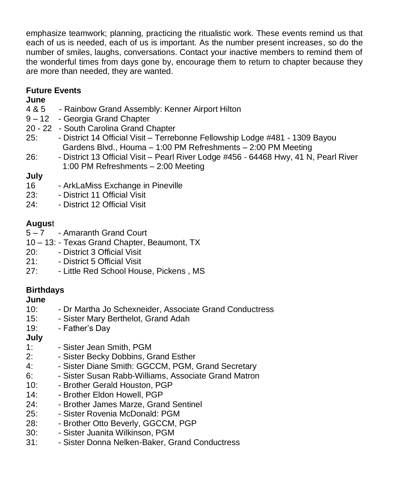emphasize teamwork; planning, practicing the ritualistic work. These events remind us that each of us is needed, each of us is important. As the number present increases, so do the number of smiles, laughs, conversations. Contact your inactive members to remind them of the wonderful times from days gone by, encourage them to return to chapter because they are more than needed, they are wanted.

# **Future Events**

## **June**

- 4 & 5 Rainbow Grand Assembly: Kenner Airport Hilton
- 9 12 Georgia Grand Chapter
- 20 22 South Carolina Grand Chapter
- 25: District 14 Official Visit Terrebonne Fellowship Lodge #481 1309 Bayou Gardens Blvd., Houma – 1:00 PM Refreshments – 2:00 PM Meeting
- 26: District 13 Official Visit Pearl River Lodge #456 64468 Hwy, 41 N, Pearl River 1:00 PM Refreshments – 2:00 Meeting

# **July**

- 16 ArkLaMiss Exchange in Pineville
- 23: District 11 Official Visit
- 24: District 12 Official Visit

# **Augus**t

- 5 7 Amaranth Grand Court
- 10 13: Texas Grand Chapter, Beaumont, TX
- 20: District 3 Official Visit
- 21: District 5 Official Visit
- 27: Little Red School House, Pickens , MS

# **Birthdays**

## **June**

- 10: Dr Martha Jo Schexneider, Associate Grand Conductress
- 15: Sister Mary Berthelot, Grand Adah
- 19: Father's Day

# **July**

- 1: Sister Jean Smith, PGM
- 2: Sister Becky Dobbins, Grand Esther
- 4: Sister Diane Smith: GGCCM, PGM, Grand Secretary
- 6: Sister Susan Rabb-Williams, Associate Grand Matron
- 10: Brother Gerald Houston, PGP
- 14: Brother Eldon Howell, PGP
- 24: Brother James Marze, Grand Sentinel
- 25: Sister Rovenia McDonald: PGM
- 28: Brother Otto Beverly, GGCCM, PGP
- 30: Sister Juanita Wilkinson, PGM
- 31: Sister Donna Nelken-Baker, Grand Conductress